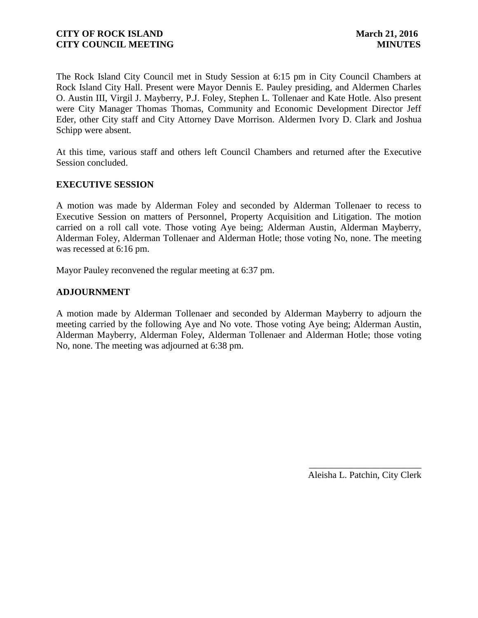The Rock Island City Council met in Study Session at 6:15 pm in City Council Chambers at Rock Island City Hall. Present were Mayor Dennis E. Pauley presiding, and Aldermen Charles O. Austin III, Virgil J. Mayberry, P.J. Foley, Stephen L. Tollenaer and Kate Hotle. Also present were City Manager Thomas Thomas, Community and Economic Development Director Jeff Eder, other City staff and City Attorney Dave Morrison. Aldermen Ivory D. Clark and Joshua Schipp were absent.

At this time, various staff and others left Council Chambers and returned after the Executive Session concluded.

### **EXECUTIVE SESSION**

A motion was made by Alderman Foley and seconded by Alderman Tollenaer to recess to Executive Session on matters of Personnel, Property Acquisition and Litigation. The motion carried on a roll call vote. Those voting Aye being; Alderman Austin, Alderman Mayberry, Alderman Foley, Alderman Tollenaer and Alderman Hotle; those voting No, none. The meeting was recessed at 6:16 pm.

Mayor Pauley reconvened the regular meeting at 6:37 pm.

### **ADJOURNMENT**

A motion made by Alderman Tollenaer and seconded by Alderman Mayberry to adjourn the meeting carried by the following Aye and No vote. Those voting Aye being; Alderman Austin, Alderman Mayberry, Alderman Foley, Alderman Tollenaer and Alderman Hotle; those voting No, none. The meeting was adjourned at 6:38 pm.

> \_\_\_\_\_\_\_\_\_\_\_\_\_\_\_\_\_\_\_\_\_\_\_\_ Aleisha L. Patchin, City Clerk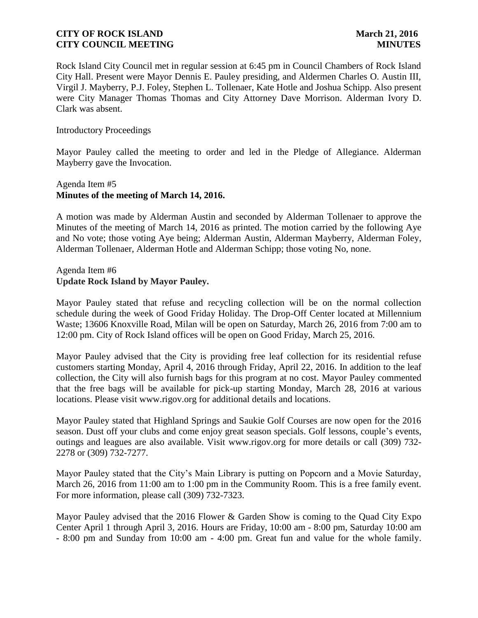Rock Island City Council met in regular session at 6:45 pm in Council Chambers of Rock Island City Hall. Present were Mayor Dennis E. Pauley presiding, and Aldermen Charles O. Austin III, Virgil J. Mayberry, P.J. Foley, Stephen L. Tollenaer, Kate Hotle and Joshua Schipp. Also present were City Manager Thomas Thomas and City Attorney Dave Morrison. Alderman Ivory D. Clark was absent.

#### Introductory Proceedings

Mayor Pauley called the meeting to order and led in the Pledge of Allegiance. Alderman Mayberry gave the Invocation.

## Agenda Item #5 **Minutes of the meeting of March 14, 2016.**

A motion was made by Alderman Austin and seconded by Alderman Tollenaer to approve the Minutes of the meeting of March 14, 2016 as printed. The motion carried by the following Aye and No vote; those voting Aye being; Alderman Austin, Alderman Mayberry, Alderman Foley, Alderman Tollenaer, Alderman Hotle and Alderman Schipp; those voting No, none.

### Agenda Item #6 **Update Rock Island by Mayor Pauley.**

Mayor Pauley stated that refuse and recycling collection will be on the normal collection schedule during the week of Good Friday Holiday. The Drop-Off Center located at Millennium Waste; 13606 Knoxville Road, Milan will be open on Saturday, March 26, 2016 from 7:00 am to 12:00 pm. City of Rock Island offices will be open on Good Friday, March 25, 2016.

Mayor Pauley advised that the City is providing free leaf collection for its residential refuse customers starting Monday, April 4, 2016 through Friday, April 22, 2016. In addition to the leaf collection, the City will also furnish bags for this program at no cost. Mayor Pauley commented that the free bags will be available for pick-up starting Monday, March 28, 2016 at various locations. Please visit www.rigov.org for additional details and locations.

Mayor Pauley stated that Highland Springs and Saukie Golf Courses are now open for the 2016 season. Dust off your clubs and come enjoy great season specials. Golf lessons, couple's events, outings and leagues are also available. Visit www.rigov.org for more details or call (309) 732- 2278 or (309) 732-7277.

Mayor Pauley stated that the City's Main Library is putting on Popcorn and a Movie Saturday, March 26, 2016 from 11:00 am to 1:00 pm in the Community Room. This is a free family event. For more information, please call (309) 732-7323.

Mayor Pauley advised that the 2016 Flower & Garden Show is coming to the Quad City Expo Center April 1 through April 3, 2016. Hours are Friday, 10:00 am - 8:00 pm, Saturday 10:00 am - 8:00 pm and Sunday from 10:00 am - 4:00 pm. Great fun and value for the whole family.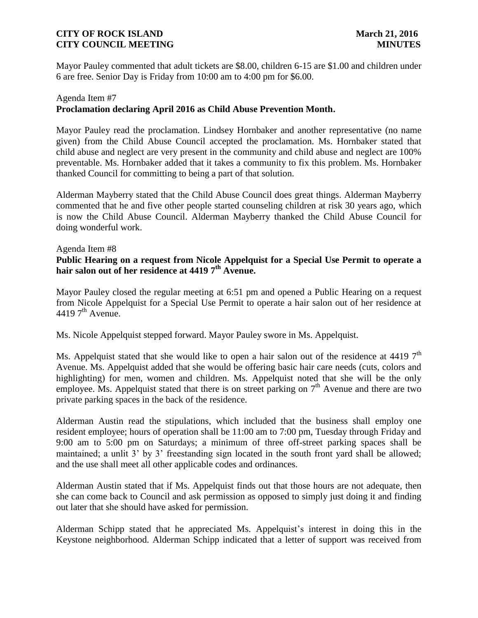Mayor Pauley commented that adult tickets are \$8.00, children 6-15 are \$1.00 and children under 6 are free. Senior Day is Friday from 10:00 am to 4:00 pm for \$6.00.

## Agenda Item #7 **Proclamation declaring April 2016 as Child Abuse Prevention Month.**

Mayor Pauley read the proclamation. Lindsey Hornbaker and another representative (no name given) from the Child Abuse Council accepted the proclamation. Ms. Hornbaker stated that child abuse and neglect are very present in the community and child abuse and neglect are 100% preventable. Ms. Hornbaker added that it takes a community to fix this problem. Ms. Hornbaker thanked Council for committing to being a part of that solution.

Alderman Mayberry stated that the Child Abuse Council does great things. Alderman Mayberry commented that he and five other people started counseling children at risk 30 years ago, which is now the Child Abuse Council. Alderman Mayberry thanked the Child Abuse Council for doing wonderful work.

### Agenda Item #8

# **Public Hearing on a request from Nicole Appelquist for a Special Use Permit to operate a hair salon out of her residence at 4419 7th Avenue.**

Mayor Pauley closed the regular meeting at 6:51 pm and opened a Public Hearing on a request from Nicole Appelquist for a Special Use Permit to operate a hair salon out of her residence at 4419  $7<sup>th</sup>$  Avenue.

Ms. Nicole Appelquist stepped forward. Mayor Pauley swore in Ms. Appelquist.

Ms. Appelquist stated that she would like to open a hair salon out of the residence at 4419  $7<sup>th</sup>$ Avenue. Ms. Appelquist added that she would be offering basic hair care needs (cuts, colors and highlighting) for men, women and children. Ms. Appelquist noted that she will be the only employee. Ms. Appelquist stated that there is on street parking on  $7<sup>th</sup>$  Avenue and there are two private parking spaces in the back of the residence.

Alderman Austin read the stipulations, which included that the business shall employ one resident employee; hours of operation shall be 11:00 am to 7:00 pm, Tuesday through Friday and 9:00 am to 5:00 pm on Saturdays; a minimum of three off-street parking spaces shall be maintained; a unlit 3' by 3' freestanding sign located in the south front yard shall be allowed; and the use shall meet all other applicable codes and ordinances.

Alderman Austin stated that if Ms. Appelquist finds out that those hours are not adequate, then she can come back to Council and ask permission as opposed to simply just doing it and finding out later that she should have asked for permission.

Alderman Schipp stated that he appreciated Ms. Appelquist's interest in doing this in the Keystone neighborhood. Alderman Schipp indicated that a letter of support was received from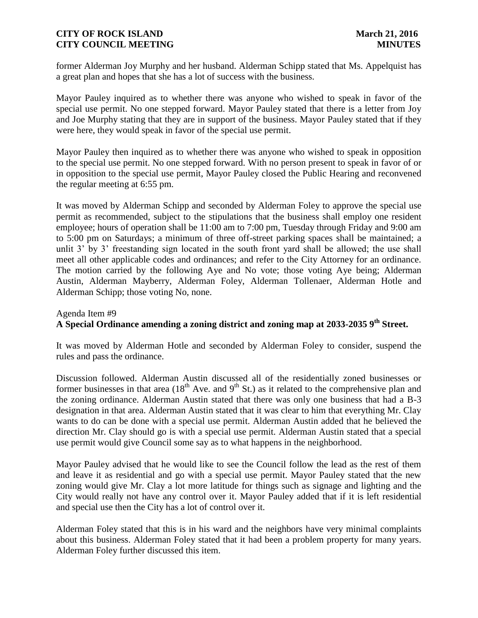former Alderman Joy Murphy and her husband. Alderman Schipp stated that Ms. Appelquist has a great plan and hopes that she has a lot of success with the business.

Mayor Pauley inquired as to whether there was anyone who wished to speak in favor of the special use permit. No one stepped forward. Mayor Pauley stated that there is a letter from Joy and Joe Murphy stating that they are in support of the business. Mayor Pauley stated that if they were here, they would speak in favor of the special use permit.

Mayor Pauley then inquired as to whether there was anyone who wished to speak in opposition to the special use permit. No one stepped forward. With no person present to speak in favor of or in opposition to the special use permit, Mayor Pauley closed the Public Hearing and reconvened the regular meeting at 6:55 pm.

It was moved by Alderman Schipp and seconded by Alderman Foley to approve the special use permit as recommended, subject to the stipulations that the business shall employ one resident employee; hours of operation shall be 11:00 am to 7:00 pm, Tuesday through Friday and 9:00 am to 5:00 pm on Saturdays; a minimum of three off-street parking spaces shall be maintained; a unlit 3' by 3' freestanding sign located in the south front yard shall be allowed; the use shall meet all other applicable codes and ordinances; and refer to the City Attorney for an ordinance. The motion carried by the following Aye and No vote; those voting Aye being; Alderman Austin, Alderman Mayberry, Alderman Foley, Alderman Tollenaer, Alderman Hotle and Alderman Schipp; those voting No, none.

# Agenda Item #9 **A Special Ordinance amending a zoning district and zoning map at 2033-2035 9th Street.**

It was moved by Alderman Hotle and seconded by Alderman Foley to consider, suspend the rules and pass the ordinance.

Discussion followed. Alderman Austin discussed all of the residentially zoned businesses or former businesses in that area  $(18<sup>th</sup>$  Ave. and  $9<sup>th</sup>$  St.) as it related to the comprehensive plan and the zoning ordinance. Alderman Austin stated that there was only one business that had a B-3 designation in that area. Alderman Austin stated that it was clear to him that everything Mr. Clay wants to do can be done with a special use permit. Alderman Austin added that he believed the direction Mr. Clay should go is with a special use permit. Alderman Austin stated that a special use permit would give Council some say as to what happens in the neighborhood.

Mayor Pauley advised that he would like to see the Council follow the lead as the rest of them and leave it as residential and go with a special use permit. Mayor Pauley stated that the new zoning would give Mr. Clay a lot more latitude for things such as signage and lighting and the City would really not have any control over it. Mayor Pauley added that if it is left residential and special use then the City has a lot of control over it.

Alderman Foley stated that this is in his ward and the neighbors have very minimal complaints about this business. Alderman Foley stated that it had been a problem property for many years. Alderman Foley further discussed this item.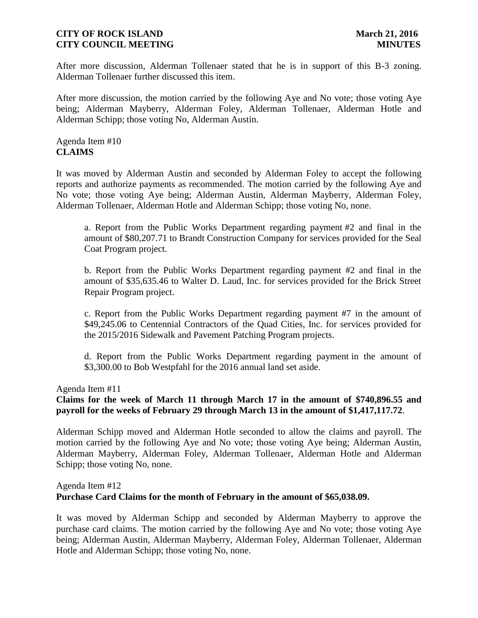After more discussion, Alderman Tollenaer stated that he is in support of this B-3 zoning. Alderman Tollenaer further discussed this item.

After more discussion, the motion carried by the following Aye and No vote; those voting Aye being; Alderman Mayberry, Alderman Foley, Alderman Tollenaer, Alderman Hotle and Alderman Schipp; those voting No, Alderman Austin.

Agenda Item #10 **CLAIMS**

It was moved by Alderman Austin and seconded by Alderman Foley to accept the following reports and authorize payments as recommended. The motion carried by the following Aye and No vote; those voting Aye being; Alderman Austin, Alderman Mayberry, Alderman Foley, Alderman Tollenaer, Alderman Hotle and Alderman Schipp; those voting No, none.

a. Report from the Public Works Department regarding payment #2 and final in the amount of \$80,207.71 to Brandt Construction Company for services provided for the Seal Coat Program project.

b. Report from the Public Works Department regarding payment #2 and final in the amount of \$35,635.46 to Walter D. Laud, Inc. for services provided for the Brick Street Repair Program project.

c. Report from the Public Works Department regarding payment #7 in the amount of \$49,245.06 to Centennial Contractors of the Quad Cities, Inc. for services provided for the 2015/2016 Sidewalk and Pavement Patching Program projects.

d. Report from the Public Works Department regarding payment in the amount of \$3,300.00 to Bob Westpfahl for the 2016 annual land set aside.

Agenda Item #11

# **Claims for the week of March 11 through March 17 in the amount of \$740,896.55 and payroll for the weeks of February 29 through March 13 in the amount of \$1,417,117.72**.

Alderman Schipp moved and Alderman Hotle seconded to allow the claims and payroll. The motion carried by the following Aye and No vote; those voting Aye being; Alderman Austin, Alderman Mayberry, Alderman Foley, Alderman Tollenaer, Alderman Hotle and Alderman Schipp; those voting No, none.

# Agenda Item #12 **Purchase Card Claims for the month of February in the amount of \$65,038.09.**

It was moved by Alderman Schipp and seconded by Alderman Mayberry to approve the purchase card claims. The motion carried by the following Aye and No vote; those voting Aye being; Alderman Austin, Alderman Mayberry, Alderman Foley, Alderman Tollenaer, Alderman Hotle and Alderman Schipp; those voting No, none.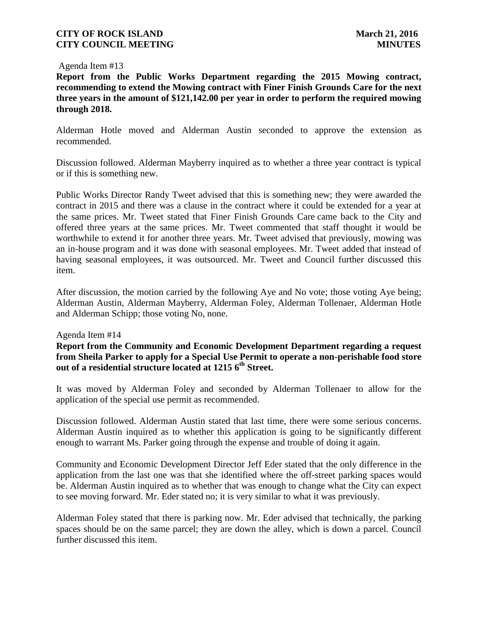#### Agenda Item #13

**Report from the Public Works Department regarding the 2015 Mowing contract, recommending to extend the Mowing contract with Finer Finish Grounds Care for the next three years in the amount of \$121,142.00 per year in order to perform the required mowing through 2018.**

Alderman Hotle moved and Alderman Austin seconded to approve the extension as recommended.

Discussion followed. Alderman Mayberry inquired as to whether a three year contract is typical or if this is something new.

Public Works Director Randy Tweet advised that this is something new; they were awarded the contract in 2015 and there was a clause in the contract where it could be extended for a year at the same prices. Mr. Tweet stated that Finer Finish Grounds Care came back to the City and offered three years at the same prices. Mr. Tweet commented that staff thought it would be worthwhile to extend it for another three years. Mr. Tweet advised that previously, mowing was an in-house program and it was done with seasonal employees. Mr. Tweet added that instead of having seasonal employees, it was outsourced. Mr. Tweet and Council further discussed this item.

After discussion, the motion carried by the following Aye and No vote; those voting Aye being; Alderman Austin, Alderman Mayberry, Alderman Foley, Alderman Tollenaer, Alderman Hotle and Alderman Schipp; those voting No, none.

#### Agenda Item #14

**Report from the Community and Economic Development Department regarding a request from Sheila Parker to apply for a Special Use Permit to operate a non-perishable food store out of a residential structure located at 1215 6th Street.**

It was moved by Alderman Foley and seconded by Alderman Tollenaer to allow for the application of the special use permit as recommended.

Discussion followed. Alderman Austin stated that last time, there were some serious concerns. Alderman Austin inquired as to whether this application is going to be significantly different enough to warrant Ms. Parker going through the expense and trouble of doing it again.

Community and Economic Development Director Jeff Eder stated that the only difference in the application from the last one was that she identified where the off-street parking spaces would be. Alderman Austin inquired as to whether that was enough to change what the City can expect to see moving forward. Mr. Eder stated no; it is very similar to what it was previously.

Alderman Foley stated that there is parking now. Mr. Eder advised that technically, the parking spaces should be on the same parcel; they are down the alley, which is down a parcel. Council further discussed this item.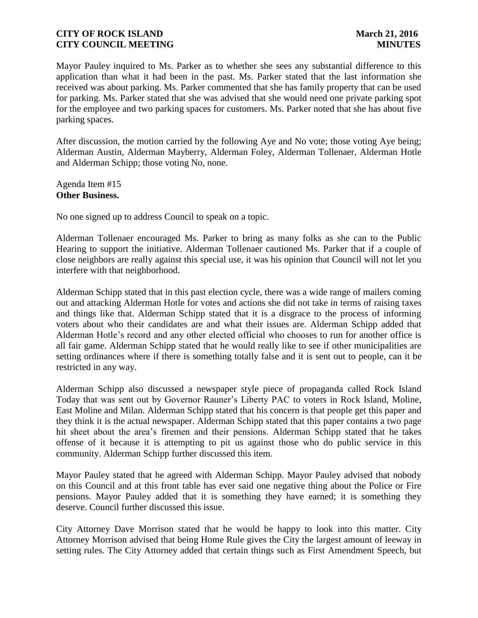Mayor Pauley inquired to Ms. Parker as to whether she sees any substantial difference to this application than what it had been in the past. Ms. Parker stated that the last information she received was about parking. Ms. Parker commented that she has family property that can be used for parking. Ms. Parker stated that she was advised that she would need one private parking spot for the employee and two parking spaces for customers. Ms. Parker noted that she has about five parking spaces.

After discussion, the motion carried by the following Aye and No vote; those voting Aye being; Alderman Austin, Alderman Mayberry, Alderman Foley, Alderman Tollenaer, Alderman Hotle and Alderman Schipp; those voting No, none.

Agenda Item #15 **Other Business.**

No one signed up to address Council to speak on a topic.

Alderman Tollenaer encouraged Ms. Parker to bring as many folks as she can to the Public Hearing to support the initiative. Alderman Tollenaer cautioned Ms. Parker that if a couple of close neighbors are really against this special use, it was his opinion that Council will not let you interfere with that neighborhood.

Alderman Schipp stated that in this past election cycle, there was a wide range of mailers coming out and attacking Alderman Hotle for votes and actions she did not take in terms of raising taxes and things like that. Alderman Schipp stated that it is a disgrace to the process of informing voters about who their candidates are and what their issues are. Alderman Schipp added that Alderman Hotle's record and any other elected official who chooses to run for another office is all fair game. Alderman Schipp stated that he would really like to see if other municipalities are setting ordinances where if there is something totally false and it is sent out to people, can it be restricted in any way.

Alderman Schipp also discussed a newspaper style piece of propaganda called Rock Island Today that was sent out by Governor Rauner's Liberty PAC to voters in Rock Island, Moline, East Moline and Milan. Alderman Schipp stated that his concern is that people get this paper and they think it is the actual newspaper. Alderman Schipp stated that this paper contains a two page hit sheet about the area's firemen and their pensions. Alderman Schipp stated that he takes offense of it because it is attempting to pit us against those who do public service in this community. Alderman Schipp further discussed this item.

Mayor Pauley stated that he agreed with Alderman Schipp. Mayor Pauley advised that nobody on this Council and at this front table has ever said one negative thing about the Police or Fire pensions. Mayor Pauley added that it is something they have earned; it is something they deserve. Council further discussed this issue.

City Attorney Dave Morrison stated that he would be happy to look into this matter. City Attorney Morrison advised that being Home Rule gives the City the largest amount of leeway in setting rules. The City Attorney added that certain things such as First Amendment Speech, but